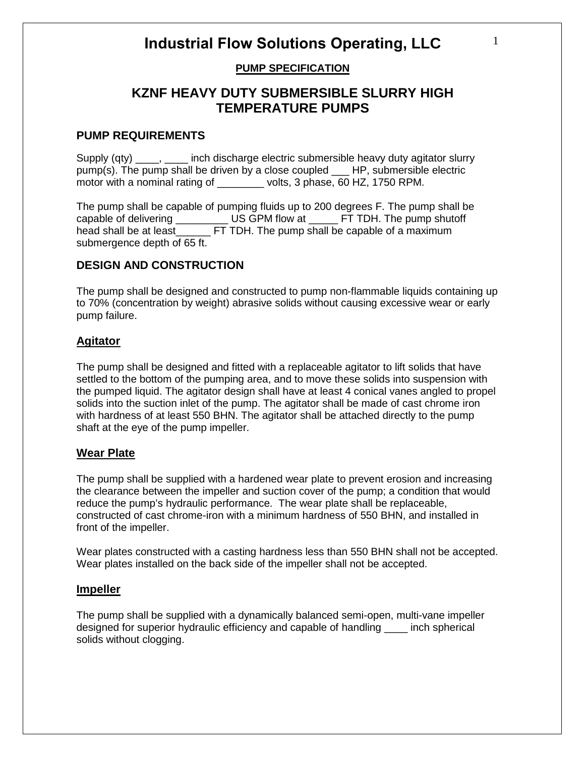# **PUMP SPECIFICATION**

# **KZNF HEAVY DUTY SUBMERSIBLE SLURRY HIGH TEMPERATURE PUMPS**

### **PUMP REQUIREMENTS**

Supply (qty) \_\_\_\_, \_\_\_\_ inch discharge electric submersible heavy duty agitator slurry pump(s). The pump shall be driven by a close coupled \_\_\_ HP, submersible electric motor with a nominal rating of \_\_\_\_\_\_\_\_ volts, 3 phase, 60 HZ, 1750 RPM.

The pump shall be capable of pumping fluids up to 200 degrees F. The pump shall be capable of delivering TUS GPM flow at TET TDH. The pump shutoff head shall be at least FT TDH. The pump shall be capable of a maximum submergence depth of 65 ft.

# **DESIGN AND CONSTRUCTION**

The pump shall be designed and constructed to pump non-flammable liquids containing up to 70% (concentration by weight) abrasive solids without causing excessive wear or early pump failure.

# **Agitator**

The pump shall be designed and fitted with a replaceable agitator to lift solids that have settled to the bottom of the pumping area, and to move these solids into suspension with the pumped liquid. The agitator design shall have at least 4 conical vanes angled to propel solids into the suction inlet of the pump. The agitator shall be made of cast chrome iron with hardness of at least 550 BHN. The agitator shall be attached directly to the pump shaft at the eye of the pump impeller.

# **Wear Plate**

The pump shall be supplied with a hardened wear plate to prevent erosion and increasing the clearance between the impeller and suction cover of the pump; a condition that would reduce the pump's hydraulic performance. The wear plate shall be replaceable, constructed of cast chrome-iron with a minimum hardness of 550 BHN, and installed in front of the impeller.

Wear plates constructed with a casting hardness less than 550 BHN shall not be accepted. Wear plates installed on the back side of the impeller shall not be accepted.

### **Impeller**

The pump shall be supplied with a dynamically balanced semi-open, multi-vane impeller designed for superior hydraulic efficiency and capable of handling \_\_\_\_ inch spherical solids without clogging.

1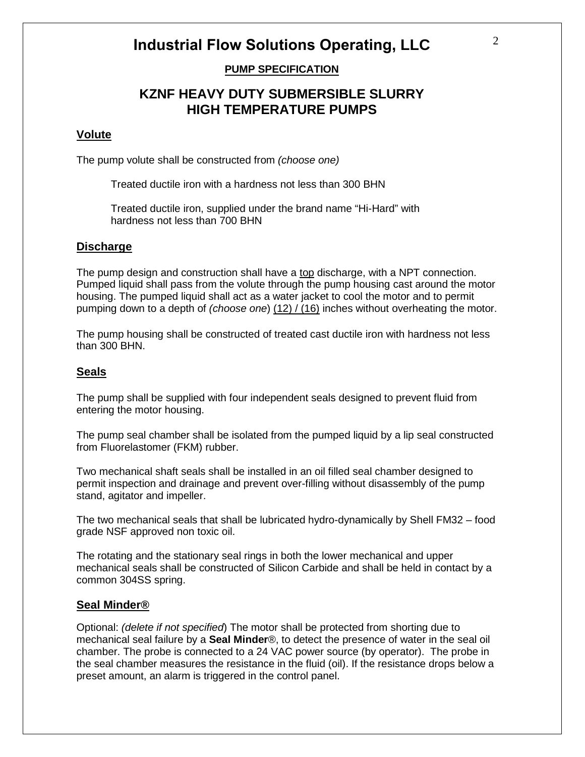# **PUMP SPECIFICATION**

# **KZNF HEAVY DUTY SUBMERSIBLE SLURRY HIGH TEMPERATURE PUMPS**

#### **Volute**

The pump volute shall be constructed from *(choose one)*

Treated ductile iron with a hardness not less than 300 BHN

Treated ductile iron, supplied under the brand name "Hi-Hard" with hardness not less than 700 BHN

### **Discharge**

The pump design and construction shall have a top discharge, with a NPT connection. Pumped liquid shall pass from the volute through the pump housing cast around the motor housing. The pumped liquid shall act as a water jacket to cool the motor and to permit pumping down to a depth of *(choose one*) (12) / (16) inches without overheating the motor.

The pump housing shall be constructed of treated cast ductile iron with hardness not less than 300 BHN.

#### **Seals**

The pump shall be supplied with four independent seals designed to prevent fluid from entering the motor housing.

The pump seal chamber shall be isolated from the pumped liquid by a lip seal constructed from Fluorelastomer (FKM) rubber.

Two mechanical shaft seals shall be installed in an oil filled seal chamber designed to permit inspection and drainage and prevent over-filling without disassembly of the pump stand, agitator and impeller.

The two mechanical seals that shall be lubricated hydro-dynamically by Shell FM32 – food grade NSF approved non toxic oil.

The rotating and the stationary seal rings in both the lower mechanical and upper mechanical seals shall be constructed of Silicon Carbide and shall be held in contact by a common 304SS spring.

#### **Seal Minder®**

Optional: *(delete if not specified*) The motor shall be protected from shorting due to mechanical seal failure by a **Seal Minder**®, to detect the presence of water in the seal oil chamber. The probe is connected to a 24 VAC power source (by operator). The probe in the seal chamber measures the resistance in the fluid (oil). If the resistance drops below a preset amount, an alarm is triggered in the control panel.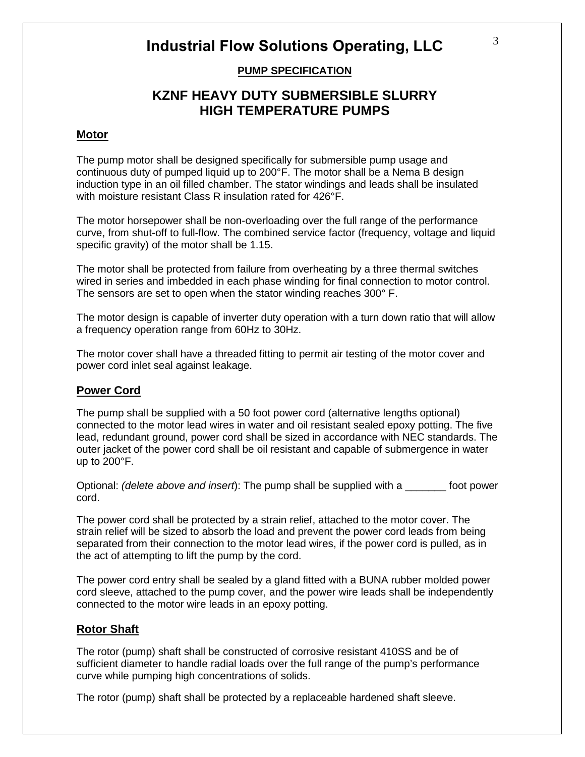# **PUMP SPECIFICATION**

# **KZNF HEAVY DUTY SUBMERSIBLE SLURRY HIGH TEMPERATURE PUMPS**

#### **Motor**

The pump motor shall be designed specifically for submersible pump usage and continuous duty of pumped liquid up to 200°F. The motor shall be a Nema B design induction type in an oil filled chamber. The stator windings and leads shall be insulated with moisture resistant Class R insulation rated for 426°F.

The motor horsepower shall be non-overloading over the full range of the performance curve, from shut-off to full-flow. The combined service factor (frequency, voltage and liquid specific gravity) of the motor shall be 1.15.

The motor shall be protected from failure from overheating by a three thermal switches wired in series and imbedded in each phase winding for final connection to motor control. The sensors are set to open when the stator winding reaches 300° F.

The motor design is capable of inverter duty operation with a turn down ratio that will allow a frequency operation range from 60Hz to 30Hz.

The motor cover shall have a threaded fitting to permit air testing of the motor cover and power cord inlet seal against leakage.

### **Power Cord**

The pump shall be supplied with a 50 foot power cord (alternative lengths optional) connected to the motor lead wires in water and oil resistant sealed epoxy potting. The five lead, redundant ground, power cord shall be sized in accordance with NEC standards. The outer jacket of the power cord shall be oil resistant and capable of submergence in water up to 200°F.

Optional: *(delete above and insert*): The pump shall be supplied with a \_\_\_\_\_\_\_ foot power cord.

The power cord shall be protected by a strain relief, attached to the motor cover. The strain relief will be sized to absorb the load and prevent the power cord leads from being separated from their connection to the motor lead wires, if the power cord is pulled, as in the act of attempting to lift the pump by the cord.

The power cord entry shall be sealed by a gland fitted with a BUNA rubber molded power cord sleeve, attached to the pump cover, and the power wire leads shall be independently connected to the motor wire leads in an epoxy potting.

### **Rotor Shaft**

The rotor (pump) shaft shall be constructed of corrosive resistant 410SS and be of sufficient diameter to handle radial loads over the full range of the pump's performance curve while pumping high concentrations of solids.

The rotor (pump) shaft shall be protected by a replaceable hardened shaft sleeve.